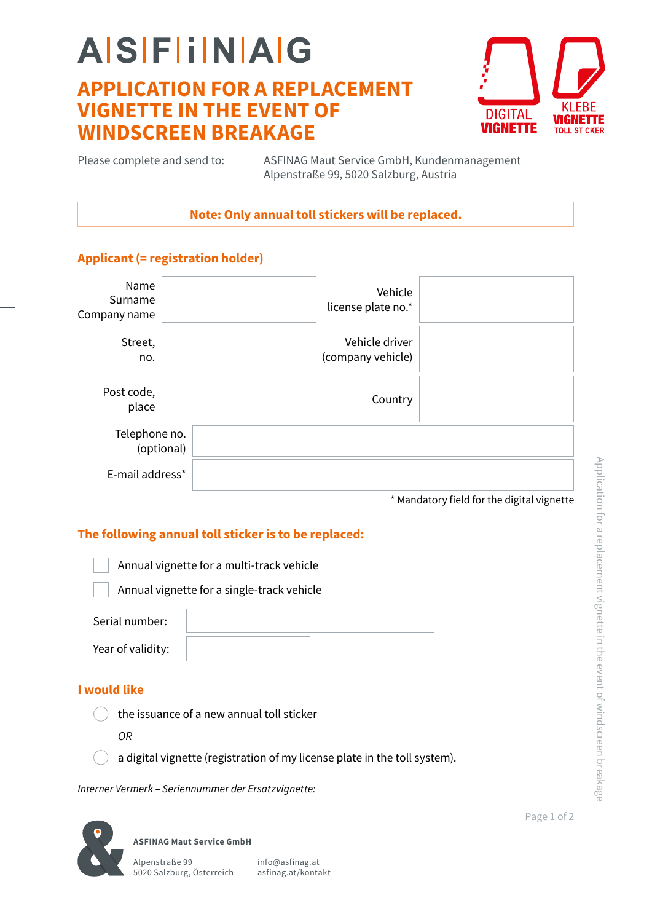## **AISFIINAG APPLICATION FOR A REPLACEMENT VIGNETTE IN THE EVENT OF WINDSCREEN BREAKAGE**



Please complete and send to:

ASFINAG Maut Service GmbH, Kundenmanagement Alpenstraße 99, 5020 Salzburg, Austria

**Note: Only annual toll stickers will be replaced.**

### **Applicant (= registration holder)**

| Name<br>Surname<br>Company name |            |  | Vehicle<br>license plate no.*       |  |
|---------------------------------|------------|--|-------------------------------------|--|
| Street,<br>no.                  |            |  | Vehicle driver<br>(company vehicle) |  |
| Post code,<br>place             |            |  | Country                             |  |
| Telephone no.                   | (optional) |  |                                     |  |
| E-mail address*                 |            |  |                                     |  |

\* Mandatory field for the digital vignette

### **The following annual toll sticker is to be replaced:**

Annual vignette for a multi-track vehicle

Annual vignette for a single-track vehicle

| Serial number:    |  |
|-------------------|--|
| Year of validity: |  |

### **I would like**

the issuance of a new annual toll sticker

*OR*

a digital vignette (registration of my license plate in the toll system).

*Interner Vermerk – Seriennummer der Ersatzvignette:*

**ASFINAG Maut Service GmbH**